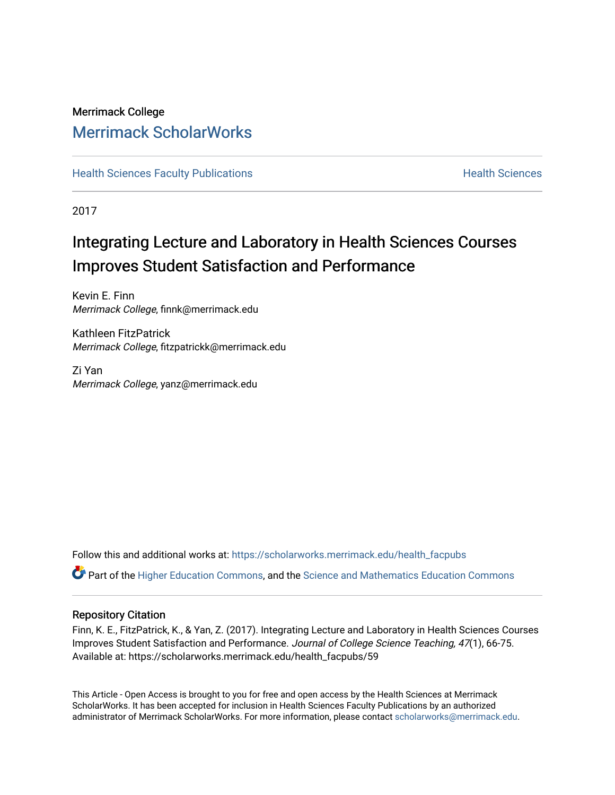### Merrimack College [Merrimack ScholarWorks](https://scholarworks.merrimack.edu/)

**[Health Sciences Faculty Publications](https://scholarworks.merrimack.edu/health_facpubs) Mealth Sciences Health Sciences** Health Sciences

2017

### Integrating Lecture and Laboratory in Health Sciences Courses Improves Student Satisfaction and Performance

Kevin E. Finn Merrimack College, finnk@merrimack.edu

Kathleen FitzPatrick Merrimack College, fitzpatrickk@merrimack.edu

Zi Yan Merrimack College, yanz@merrimack.edu

Follow this and additional works at: [https://scholarworks.merrimack.edu/health\\_facpubs](https://scholarworks.merrimack.edu/health_facpubs?utm_source=scholarworks.merrimack.edu%2Fhealth_facpubs%2F59&utm_medium=PDF&utm_campaign=PDFCoverPages) 

Part of the [Higher Education Commons,](http://network.bepress.com/hgg/discipline/1245?utm_source=scholarworks.merrimack.edu%2Fhealth_facpubs%2F59&utm_medium=PDF&utm_campaign=PDFCoverPages) and the [Science and Mathematics Education Commons](http://network.bepress.com/hgg/discipline/800?utm_source=scholarworks.merrimack.edu%2Fhealth_facpubs%2F59&utm_medium=PDF&utm_campaign=PDFCoverPages)

#### Repository Citation

Finn, K. E., FitzPatrick, K., & Yan, Z. (2017). Integrating Lecture and Laboratory in Health Sciences Courses Improves Student Satisfaction and Performance. Journal of College Science Teaching, 47(1), 66-75. Available at: https://scholarworks.merrimack.edu/health\_facpubs/59

This Article - Open Access is brought to you for free and open access by the Health Sciences at Merrimack ScholarWorks. It has been accepted for inclusion in Health Sciences Faculty Publications by an authorized administrator of Merrimack ScholarWorks. For more information, please contact [scholarworks@merrimack.edu](mailto:scholarworks@merrimack.edu).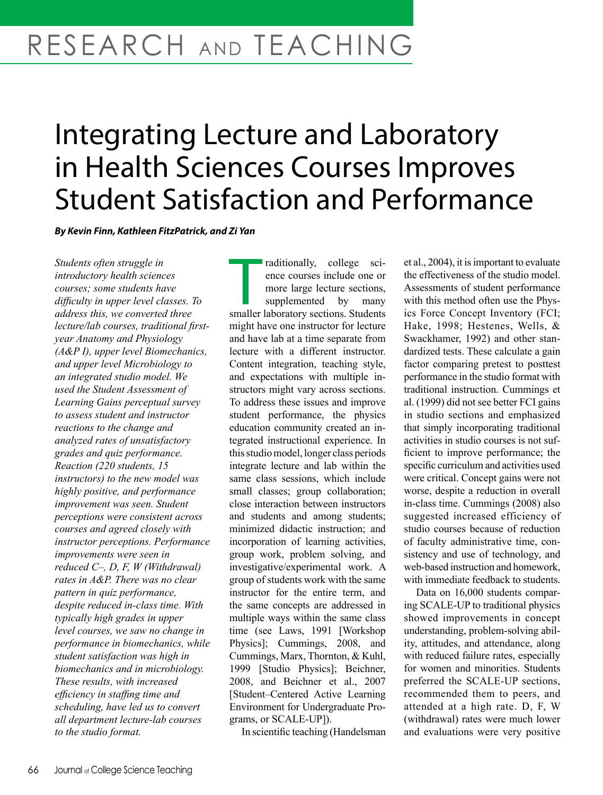# RESEARCH AND TEACHING

## Integrating Lecture and Laboratory in Health Sciences Courses Improves Student Satisfaction and Performance

*By Kevin Finn, Kathleen FitzPatrick, and Zi Yan*

*Students often struggle in introductory health sciences courses; some students have difficulty in upper level classes. To address this, we converted three lecture/lab courses, traditional firstyear Anatomy and Physiology (A&P I), upper level Biomechanics, and upper level Microbiology to an integrated studio model. We used the Student Assessment of Learning Gains perceptual survey to assess student and instructor reactions to the change and analyzed rates of unsatisfactory grades and quiz performance. Reaction (220 students, 15 instructors) to the new model was highly positive, and performance improvement was seen. Student perceptions were consistent across courses and agreed closely with instructor perceptions. Performance improvements were seen in reduced C–, D, F, W (Withdrawal) rates in A&P. There was no clear pattern in quiz performance, despite reduced in-class time. With typically high grades in upper level courses, we saw no change in performance in biomechanics, while student satisfaction was high in biomechanics and in microbiology. These results, with increased efficiency in staffing time and scheduling, have led us to convert all department lecture-lab courses to the studio format.* 

raditionally, college sci-<br>ence courses include one or<br>more large lecture sections,<br>supplemented by many<br>smaller laboratory sections. Students raditionally, college science courses include one or more large lecture sections, supplemented by many might have one instructor for lecture and have lab at a time separate from lecture with a different instructor. Content integration, teaching style, and expectations with multiple instructors might vary across sections. To address these issues and improve student performance, the physics education community created an integrated instructional experience. In this studio model, longer class periods integrate lecture and lab within the same class sessions, which include small classes; group collaboration; close interaction between instructors and students and among students; minimized didactic instruction; and incorporation of learning activities, group work, problem solving, and investigative/experimental work. A group of students work with the same instructor for the entire term, and the same concepts are addressed in multiple ways within the same class time (see Laws, 1991 [Workshop Physics]; Cummings, 2008, and Cummings, Marx, Thornton, & Kuhl, 1999 [Studio Physics]; Beichner, 2008, and Beichner et al., 2007 [Student–Centered Active Learning Environment for Undergraduate Programs, or SCALE-UP]).

In scientific teaching (Handelsman

et al., 2004), it is important to evaluate the effectiveness of the studio model. Assessments of student performance with this method often use the Physics Force Concept Inventory (FCI; Hake, 1998; Hestenes, Wells, & Swackhamer, 1992) and other standardized tests. These calculate a gain factor comparing pretest to posttest performance in the studio format with traditional instruction. Cummings et al. (1999) did not see better FCI gains in studio sections and emphasized that simply incorporating traditional activities in studio courses is not sufficient to improve performance; the specific curriculum and activities used were critical. Concept gains were not worse, despite a reduction in overall in-class time. Cummings (2008) also suggested increased efficiency of studio courses because of reduction of faculty administrative time, consistency and use of technology, and web-based instruction and homework, with immediate feedback to students.

Data on 16,000 students comparing SCALE-UP to traditional physics showed improvements in concept understanding, problem-solving ability, attitudes, and attendance, along with reduced failure rates, especially for women and minorities. Students preferred the SCALE-UP sections, recommended them to peers, and attended at a high rate. D, F, W (withdrawal) rates were much lower and evaluations were very positive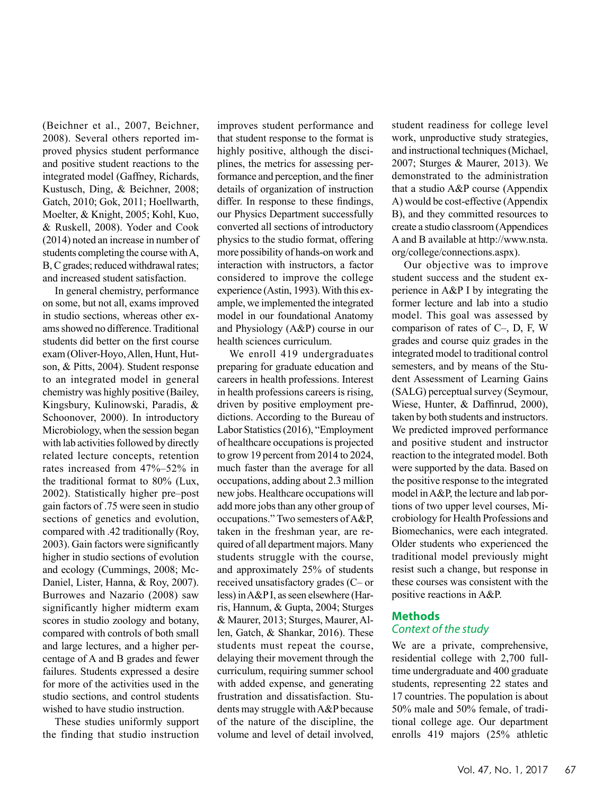(Beichner et al., 2007, Beichner, 2008). Several others reported improved physics student performance and positive student reactions to the integrated model (Gaffney, Richards, Kustusch, Ding, & Beichner, 2008; Gatch, 2010; Gok, 2011; Hoellwarth, Moelter, & Knight, 2005; Kohl, Kuo, & Ruskell, 2008). Yoder and Cook (2014) noted an increase in number of students completing the course with A, B, C grades; reduced withdrawal rates; and increased student satisfaction.

In general chemistry, performance on some, but not all, exams improved in studio sections, whereas other exams showed no difference. Traditional students did better on the first course exam (Oliver-Hoyo, Allen, Hunt, Hutson, & Pitts, 2004). Student response to an integrated model in general chemistry was highly positive (Bailey, Kingsbury, Kulinowski, Paradis, & Schoonover, 2000). In introductory Microbiology, when the session began with lab activities followed by directly related lecture concepts, retention rates increased from 47%–52% in the traditional format to 80% (Lux, 2002). Statistically higher pre–post gain factors of .75 were seen in studio sections of genetics and evolution, compared with .42 traditionally (Roy, 2003). Gain factors were significantly higher in studio sections of evolution and ecology (Cummings, 2008; Mc-Daniel, Lister, Hanna, & Roy, 2007). Burrowes and Nazario (2008) saw significantly higher midterm exam scores in studio zoology and botany, compared with controls of both small and large lectures, and a higher percentage of A and B grades and fewer failures. Students expressed a desire for more of the activities used in the studio sections, and control students wished to have studio instruction.

These studies uniformly support the finding that studio instruction

improves student performance and that student response to the format is highly positive, although the disciplines, the metrics for assessing performance and perception, and the finer details of organization of instruction differ. In response to these findings, our Physics Department successfully converted all sections of introductory physics to the studio format, offering more possibility of hands-on work and interaction with instructors, a factor considered to improve the college experience (Astin, 1993). With this example, we implemented the integrated model in our foundational Anatomy and Physiology (A&P) course in our health sciences curriculum.

We enroll 419 undergraduates preparing for graduate education and careers in health professions. Interest in health professions careers is rising, driven by positive employment predictions. According to the Bureau of Labor Statistics (2016), "Employment of healthcare occupations is projected to grow 19 percent from 2014 to 2024, much faster than the average for all occupations, adding about 2.3 million new jobs. Healthcare occupations will add more jobs than any other group of occupations." Two semesters of A&P, taken in the freshman year, are required of all department majors. Many students struggle with the course, and approximately 25% of students received unsatisfactory grades (C– or less) in A&P I, as seen elsewhere (Harris, Hannum, & Gupta, 2004; Sturges & Maurer, 2013; Sturges, Maurer, Allen, Gatch, & Shankar, 2016). These students must repeat the course, delaying their movement through the curriculum, requiring summer school with added expense, and generating frustration and dissatisfaction. Students may struggle with A&P because of the nature of the discipline, the volume and level of detail involved,

student readiness for college level work, unproductive study strategies, and instructional techniques (Michael, 2007; Sturges & Maurer, 2013). We demonstrated to the administration that a studio A&P course (Appendix A) would be cost-effective (Appendix B), and they committed resources to create a studio classroom (Appendices A and B available at http://www.nsta. org/college/connections.aspx).

Our objective was to improve student success and the student experience in A&P I by integrating the former lecture and lab into a studio model. This goal was assessed by comparison of rates of C–, D, F, W grades and course quiz grades in the integrated model to traditional control semesters, and by means of the Student Assessment of Learning Gains (SALG) perceptual survey (Seymour, Wiese, Hunter, & Daffinrud, 2000), taken by both students and instructors. We predicted improved performance and positive student and instructor reaction to the integrated model. Both were supported by the data. Based on the positive response to the integrated model in A&P, the lecture and lab portions of two upper level courses, Microbiology for Health Professions and Biomechanics, were each integrated. Older students who experienced the traditional model previously might resist such a change, but response in these courses was consistent with the positive reactions in A&P.

#### **Methods**

#### *Context of the study*

We are a private, comprehensive, residential college with 2,700 fulltime undergraduate and 400 graduate students, representing 22 states and 17 countries. The population is about 50% male and 50% female, of traditional college age. Our department enrolls 419 majors (25% athletic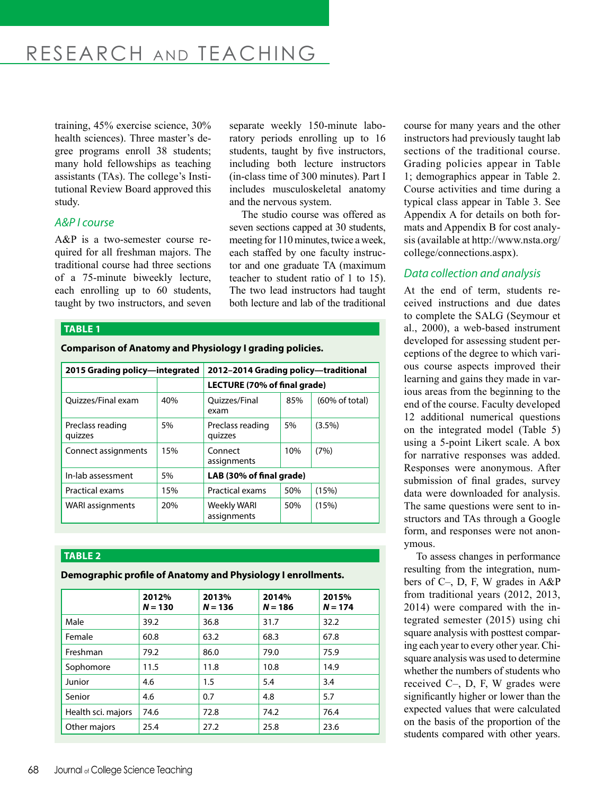## RESEARCH AND TEACHING

training, 45% exercise science, 30% health sciences). Three master's degree programs enroll 38 students; many hold fellowships as teaching assistants (TAs). The college's Institutional Review Board approved this study.

#### *A&P I course*

A&P is a two-semester course required for all freshman majors. The traditional course had three sections of a 75-minute biweekly lecture, each enrolling up to 60 students, taught by two instructors, and seven separate weekly 150-minute laboratory periods enrolling up to 16 students, taught by five instructors, including both lecture instructors (in-class time of 300 minutes). Part I includes musculoskeletal anatomy and the nervous system.

The studio course was offered as seven sections capped at 30 students, meeting for 110 minutes, twice a week, each staffed by one faculty instructor and one graduate TA (maximum teacher to student ratio of 1 to 15). The two lead instructors had taught both lecture and lab of the traditional

#### **TABLE 1**

**Comparison of Anatomy and Physiology I grading policies.**

| 2015 Grading policy—integrated |     | 2012-2014 Grading policy-traditional |     |                           |  |
|--------------------------------|-----|--------------------------------------|-----|---------------------------|--|
|                                |     | LECTURE (70% of final grade)         |     |                           |  |
| Ouizzes/Final exam             | 40% | Quizzes/Final<br>exam                | 85% | $(60\% \text{ of total})$ |  |
| Preclass reading<br>quizzes    | 5%  | Preclass reading<br>quizzes          | 5%  | $(3.5\%)$                 |  |
| Connect assignments            | 15% | 10%<br>Connect<br>assignments        |     | (7%)                      |  |
| In-lab assessment              | 5%  | LAB (30% of final grade)             |     |                           |  |
| Practical exams                | 15% | Practical exams                      | 50% | (15%)                     |  |
| <b>WARI</b> assignments        | 20% | Weekly WARI<br>assignments           | 50% | (15%)                     |  |

#### **TABLE 2**

**Demographic profile of Anatomy and Physiology I enrollments.**

|                    | 2012%<br>$N = 130$ | 2013%<br>$N = 136$ | 2014%<br>$N = 186$ | 2015%<br>$N = 174$ |
|--------------------|--------------------|--------------------|--------------------|--------------------|
| Male               | 39.2               | 36.8               | 31.7               | 32.2               |
| Female             | 60.8               | 63.2               | 68.3               | 67.8               |
| Freshman           | 79.2               | 86.0               | 79.0               | 75.9               |
| Sophomore          | 11.5               | 11.8               | 10.8               | 14.9               |
| Junior             | 4.6                | 1.5                | 5.4                | 3.4                |
| Senior             | 4.6                | 0.7                | 4.8                | 5.7                |
| Health sci. majors | 74.6               | 72.8               | 74.2               | 76.4               |
| Other majors       | 25.4               | 27.2               | 25.8               | 23.6               |

course for many years and the other instructors had previously taught lab sections of the traditional course. Grading policies appear in Table 1; demographics appear in Table 2. Course activities and time during a typical class appear in Table 3. See Appendix A for details on both formats and Appendix B for cost analysis (available at http://www.nsta.org/ college/connections.aspx).

#### *Data collection and analysis*

At the end of term, students received instructions and due dates to complete the SALG (Seymour et al., 2000), a web-based instrument developed for assessing student perceptions of the degree to which various course aspects improved their learning and gains they made in various areas from the beginning to the end of the course. Faculty developed 12 additional numerical questions on the integrated model (Table 5) using a 5-point Likert scale. A box for narrative responses was added. Responses were anonymous. After submission of final grades, survey data were downloaded for analysis. The same questions were sent to instructors and TAs through a Google form, and responses were not anonymous.

To assess changes in performance resulting from the integration, numbers of C–, D, F, W grades in A&P from traditional years (2012, 2013, 2014) were compared with the integrated semester (2015) using chi square analysis with posttest comparing each year to every other year. Chisquare analysis was used to determine whether the numbers of students who received C–, D, F, W grades were significantly higher or lower than the expected values that were calculated on the basis of the proportion of the students compared with other years.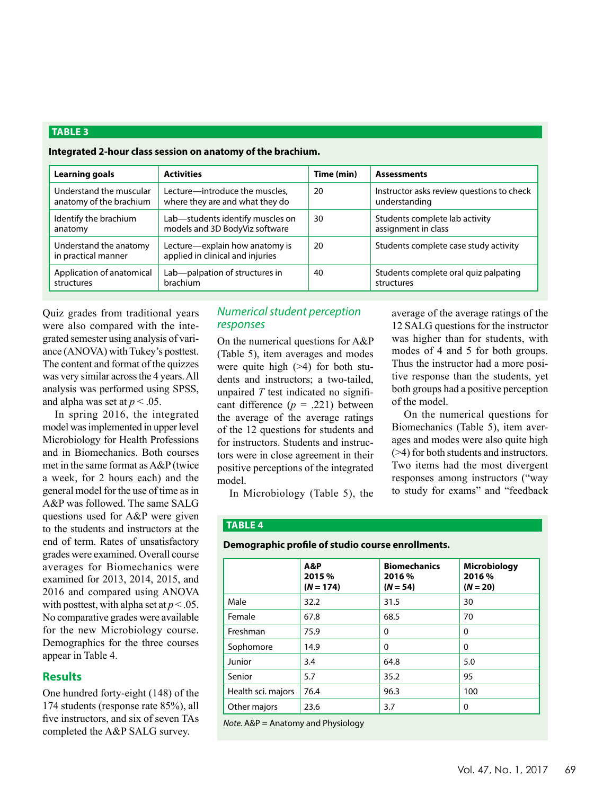#### **TABLE 3**

|                                                    | ntegrated 2-nour class session on anatomy of the brachium.         |            |                                                            |
|----------------------------------------------------|--------------------------------------------------------------------|------------|------------------------------------------------------------|
| Learning goals                                     | <b>Activities</b>                                                  | Time (min) | <b>Assessments</b>                                         |
| Understand the muscular<br>anatomy of the brachium | Lecture-introduce the muscles,<br>where they are and what they do  | 20         | Instructor asks review questions to check<br>understanding |
| Identify the brachium<br>anatomy                   | Lab—students identify muscles on<br>models and 3D BodyViz software | 30         | Students complete lab activity<br>assignment in class      |
| Understand the anatomy<br>in practical manner      | Lecture—explain how anatomy is<br>applied in clinical and injuries | 20         | Students complete case study activity                      |
| Application of anatomical<br>structures            | Lab-palpation of structures in<br>brachium                         | 40         | Students complete oral quiz palpating<br>structures        |
|                                                    |                                                                    |            |                                                            |

**Integrated 2-hour class session on anatomy of the brachium.**

Quiz grades from traditional years were also compared with the integrated semester using analysis of variance (ANOVA) with Tukey's posttest. The content and format of the quizzes was very similar across the 4 years. All analysis was performed using SPSS, and alpha was set at  $p < .05$ .

In spring 2016, the integrated model was implemented in upper level Microbiology for Health Professions and in Biomechanics. Both courses met in the same format as A&P (twice a week, for 2 hours each) and the general model for the use of time as in A&P was followed. The same SALG questions used for A&P were given to the students and instructors at the end of term. Rates of unsatisfactory grades were examined. Overall course averages for Biomechanics were examined for 2013, 2014, 2015, and 2016 and compared using ANOVA with posttest, with alpha set at  $p < .05$ . No comparative grades were available for the new Microbiology course. Demographics for the three courses appear in Table 4.

#### **Results**

One hundred forty-eight (148) of the 174 students (response rate 85%), all five instructors, and six of seven TAs completed the A&P SALG survey.

#### *Numerical student perception responses*

On the numerical questions for A&P (Table 5), item averages and modes were quite high (>4) for both students and instructors; a two-tailed, unpaired *T* test indicated no significant difference  $(p = .221)$  between the average of the average ratings of the 12 questions for students and for instructors. Students and instructors were in close agreement in their positive perceptions of the integrated model.

was higher than for students, with modes of 4 and 5 for both groups. Thus the instructor had a more positive response than the students, yet both groups had a positive perception of the model. On the numerical questions for

average of the average ratings of the 12 SALG questions for the instructor

Biomechanics (Table 5), item averages and modes were also quite high (>4) for both students and instructors. Two items had the most divergent responses among instructors ("way to study for exams" and "feedback

#### In Microbiology (Table 5), the

#### **TABLE 4**

#### **Demographic profile of studio course enrollments.**

|                    | A&P<br>2015 %<br>$(N = 174)$ | <b>Biomechanics</b><br>2016 %<br>$(N = 54)$ | <b>Microbiology</b><br>2016 %<br>$(N = 20)$ |
|--------------------|------------------------------|---------------------------------------------|---------------------------------------------|
| Male               | 32.2                         | 31.5                                        | 30                                          |
| Female             | 67.8                         | 68.5                                        | 70                                          |
| Freshman           | 75.9                         | 0                                           | 0                                           |
| Sophomore          | 14.9                         | $\mathbf{0}$                                | 0                                           |
| Junior             | 3.4                          | 64.8                                        | 5.0                                         |
| Senior             | 5.7                          | 35.2                                        | 95                                          |
| Health sci. majors | 76.4                         | 96.3                                        | 100                                         |
| Other majors       | 23.6                         | 3.7                                         | 0                                           |

*Note.* A&P = Anatomy and Physiology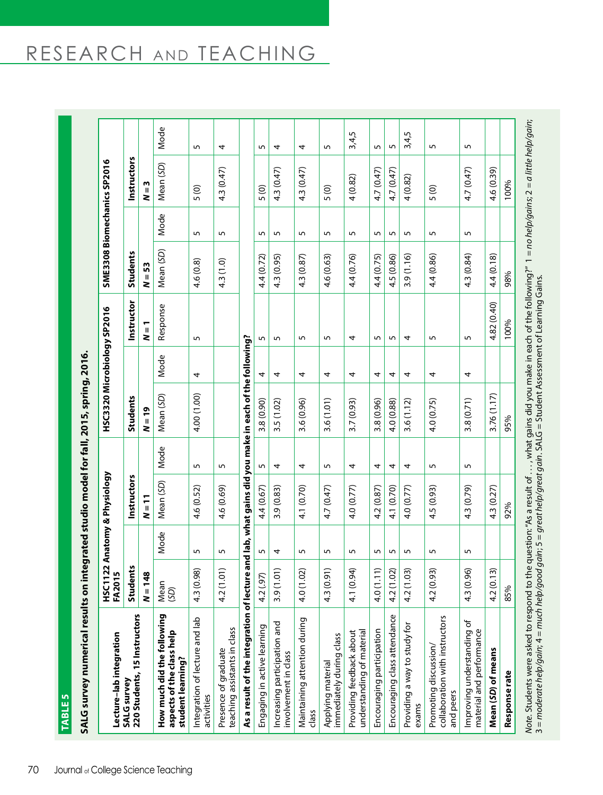| $\frac{1}{2}$                                         |
|-------------------------------------------------------|
|                                                       |
|                                                       |
|                                                       |
|                                                       |
|                                                       |
|                                                       |
| $S$ nring                                             |
|                                                       |
|                                                       |
|                                                       |
|                                                       |
| $\frac{1}{2}$                                         |
|                                                       |
|                                                       |
|                                                       |
|                                                       |
| $L_{\tau}$                                            |
|                                                       |
|                                                       |
|                                                       |
|                                                       |
|                                                       |
|                                                       |
|                                                       |
| i<br>J                                                |
|                                                       |
|                                                       |
|                                                       |
| ・こくてい<br>֖ׅ֖ׅׅׅ֚֚֚֚֚֚֚֚֚֚֚֚֚֚֚֚֚֚֚֚֚֚֚֚֬֡֡֡֡֝֡֡֡֡֡֡֡֡ |
|                                                       |
|                                                       |
|                                                       |
|                                                       |
|                                                       |
|                                                       |
|                                                       |
|                                                       |
|                                                       |
|                                                       |
|                                                       |
|                                                       |
|                                                       |
|                                                       |
|                                                       |
|                                                       |
|                                                       |
|                                                       |
|                                                       |
|                                                       |
|                                                       |
|                                                       |
|                                                       |
|                                                       |
|                                                       |
|                                                       |
|                                                       |
|                                                       |
|                                                       |
|                                                       |
|                                                       |
|                                                       |
|                                                       |
|                                                       |
| )<br>;<br>;                                           |
|                                                       |
|                                                       |
|                                                       |
|                                                       |
|                                                       |
|                                                       |
|                                                       |
|                                                       |
|                                                       |
|                                                       |
|                                                       |
|                                                       |
|                                                       |
|                                                       |
|                                                       |
|                                                       |
|                                                       |
|                                                       |
|                                                       |
| :<br>;<br>;<br>;                                      |
|                                                       |
|                                                       |
|                                                       |
|                                                       |
|                                                       |

| TABLE <sub>5</sub>                                                                                   |                             |      |                                        |      |                             |      |             |                 |                |                             |                |
|------------------------------------------------------------------------------------------------------|-----------------------------|------|----------------------------------------|------|-----------------------------|------|-------------|-----------------|----------------|-----------------------------|----------------|
| SALG survey numerical results on integrated studio model for fall, 2015, spring, 2016.               |                             |      |                                        |      |                             |      |             |                 |                |                             |                |
| Lecture-lab integration                                                                              |                             |      | HSC1122 Anatomy & Physiology<br>FA2015 |      | HSC3320 Microbiology SP2016 |      |             |                 |                | SME3308 Biomechanics SP2016 |                |
| 220 Students, 15 Instructors<br><b>SALG survey</b>                                                   | <b>Students</b>             |      | Instructors                            |      | Students                    |      | Instructor  | <b>Students</b> |                | Instructors                 |                |
|                                                                                                      | $N = 148$                   |      | $N = 11$                               |      | $N = 19$                    |      | $N = 1$     | $N = 53$        |                | $N=3$                       |                |
| How much did the following<br>aspects of the class help<br>student learning?                         | Mean<br>(SD)                | Mode | Mean (SD)                              | Mode | Mean (SD)                   | Mode | Response    | Mean (SD)       | Mode           | Mean (SD)                   | Mode           |
| Integration of lecture and lab<br>activities                                                         | $\widehat{8}$<br>4.3 (0.9   | 5    | 4.6 (0.52)                             | 5    | 4.00 (1.00)                 | 4    | S           | 4.6 (0.8)       | $\overline{5}$ | 5(0)                        | $\overline{5}$ |
| teaching assistants in class<br>Presence of graduate                                                 | 4.2 (1.01)                  | 5    | 4.6 (0.69)                             | 5    |                             |      |             | 4.3 (1.0)       | 5              | 4.3 (0.47)                  | 4              |
| As a result of the integration of lecture and lab, what gains did you make in each of the following? |                             |      |                                        |      |                             |      |             |                 |                |                             |                |
| Engaging in active learning                                                                          | 4.2 (.97)                   | 5    | 4.4 (0.67)                             | 5    | 3.8 (0.90)                  | 4    | 5           | 4.4 (0.72)      | 5              | 5(0)                        | 5              |
| Increasing participation and<br>involvement in class                                                 | 3.9(1.01)                   | 4    | 3.9 (0.83)                             | 4    | 3.5 (1.02)                  | 4    | 5           | 4.3 (0.95)      | 5              | 4.3 (0.47)                  | 4              |
| Maintaining attention during<br>class                                                                | $\tilde{Q}$<br>4.0 (1.0     | 5    | 4.1 (0.70)                             | 4    | 3.6 (0.96)                  | 4    | 5           | 4.3 (0.87)      | 5              | 4.3 (0.47)                  | 4              |
| immediately during class<br>Applying material                                                        | $\widehat{\pi}$<br>4.3 (0.9 | 5    | 4.7 (0.47)                             | 5    | 3.6 (1.01)                  | 4    | 5           | 4.6 (0.63)      | 5              | 5(0)                        | 5              |
| understanding of material<br>Providing feedback about                                                | E,<br>4.1 (0.9              | 5    | 4.0 (0.77)                             | 4    | 3.7 (0.93)                  | 4    | 4           | 4.4 (0.76)      | 5              | 4(0.82)                     | 3,4,5          |
| Encouraging participation                                                                            | $\widehat{=}$<br>4.0(1.1)   | 5    | 4.2 (0.87)                             | 4    | 3.8 (0.96)                  | 4    | 5           | 4.4 (0.75)      | 5              | 4.7 (0.47)                  | 5              |
| Encouraging class attendance                                                                         | 4.2 (1.02)                  | 5    | 4.1 (0.70)                             | 4    | 4.0 (0.88)                  | 4    | 5           | 4.5 (0.86)      | 5              | 4.7 (0.47)                  | 5              |
| Providing a way to study for<br>exams                                                                | $\widetilde{2}$<br>4.2(1.0  | 5    | 4.0 (0.77)                             | 4    | 3.6(1.12)                   | 4    | 4           | 3.9(1.16)       | 5              | 4(0.82)                     | 3,4,5          |
| collaboration with instructors<br>Promoting discussion/<br>and peers                                 | ନ୍ତି<br>4.2 (0.9            | 5    | 4.5 (0.93)                             | 5    | 4.0 (0.75)                  | 4    | 5           | 4.4 (0.86)      | 5              | 5(0)                        | 5              |
| Improving understanding of<br>material and performance                                               | ହି<br>4.3 (0.9              | 5    | 4.3 (0.79)                             | 5    | 3.8(0.71)                   | 4    | 5           | 4.3 (0.84)      | 5              | 4.7 (0.47)                  | 5              |
| Mean (SD) of means                                                                                   | ଳ<br>4.2 (0.1               |      | 4.3 (0.27)                             |      | 3.76 (1.17)                 |      | 4.82 (0.40) | 4.4 (0.18)      |                | 4.6 (0.39)                  |                |
| Response rate                                                                                        | 85%                         |      | 92%                                    |      | 95%                         |      | 100%        | 98%             |                | 100%                        |                |
|                                                                                                      |                             |      |                                        |      |                             |      |             |                 |                |                             |                |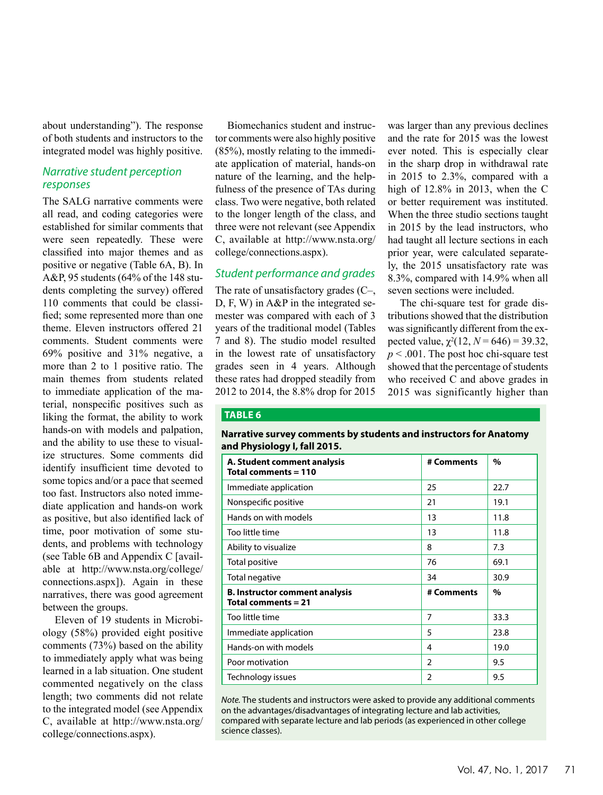about understanding"). The response of both students and instructors to the integrated model was highly positive.

#### *Narrative student perception responses*

The SALG narrative comments were all read, and coding categories were established for similar comments that were seen repeatedly. These were classified into major themes and as positive or negative (Table 6A, B). In A&P, 95 students (64% of the 148 students completing the survey) offered 110 comments that could be classified; some represented more than one theme. Eleven instructors offered 21 comments. Student comments were 69% positive and 31% negative, a more than 2 to 1 positive ratio. The main themes from students related to immediate application of the material, nonspecific positives such as liking the format, the ability to work hands-on with models and palpation, and the ability to use these to visualize structures. Some comments did identify insufficient time devoted to some topics and/or a pace that seemed too fast. Instructors also noted immediate application and hands-on work as positive, but also identified lack of time, poor motivation of some students, and problems with technology (see Table 6B and Appendix C [available at http://www.nsta.org/college/ connections.aspx]). Again in these narratives, there was good agreement between the groups.

Eleven of 19 students in Microbiology (58%) provided eight positive comments (73%) based on the ability to immediately apply what was being learned in a lab situation. One student commented negatively on the class length; two comments did not relate to the integrated model (see Appendix C, available at http://www.nsta.org/ college/connections.aspx).

Biomechanics student and instructor comments were also highly positive (85%), mostly relating to the immediate application of material, hands-on nature of the learning, and the helpfulness of the presence of TAs during class. Two were negative, both related to the longer length of the class, and three were not relevant (see Appendix C, available at http://www.nsta.org/ college/connections.aspx).

#### *Student performance and grades*

The rate of unsatisfactory grades (C–, D, F, W) in A&P in the integrated semester was compared with each of 3 years of the traditional model (Tables 7 and 8). The studio model resulted in the lowest rate of unsatisfactory grades seen in 4 years. Although these rates had dropped steadily from 2012 to 2014, the 8.8% drop for 2015

was larger than any previous declines and the rate for 2015 was the lowest ever noted. This is especially clear in the sharp drop in withdrawal rate in 2015 to 2.3%, compared with a high of 12.8% in 2013, when the C or better requirement was instituted. When the three studio sections taught in 2015 by the lead instructors, who had taught all lecture sections in each prior year, were calculated separately, the 2015 unsatisfactory rate was 8.3%, compared with 14.9% when all seven sections were included.

The chi-square test for grade distributions showed that the distribution was significantly different from the expected value,  $\chi^2(12, N = 646) = 39.32$ , *p* < .001. The post hoc chi-square test showed that the percentage of students who received C and above grades in 2015 was significantly higher than

#### **TABLE 6**

#### **Narrative survey comments by students and instructors for Anatomy and Physiology I, fall 2015.**

| A. Student comment analysis<br>Total comments = 110            | # Comments     | $\%$ |
|----------------------------------------------------------------|----------------|------|
| Immediate application                                          | 25             | 22.7 |
| Nonspecific positive                                           | 21             | 19.1 |
| Hands on with models                                           | 13             | 11.8 |
| Too little time                                                | 13             | 11.8 |
| Ability to visualize                                           | 8              | 7.3  |
| Total positive                                                 | 76             | 69.1 |
| Total negative                                                 | 34             | 30.9 |
| <b>B. Instructor comment analysis</b><br>Total comments $= 21$ | # Comments     | $\%$ |
| Too little time                                                | 7              | 33.3 |
| Immediate application                                          | 5              | 23.8 |
| Hands-on with models                                           | 4              | 19.0 |
| Poor motivation                                                | $\overline{2}$ | 9.5  |
| Technology issues                                              | $\overline{2}$ | 9.5  |

*Note.* The students and instructors were asked to provide any additional comments on the advantages/disadvantages of integrating lecture and lab activities, compared with separate lecture and lab periods (as experienced in other college science classes).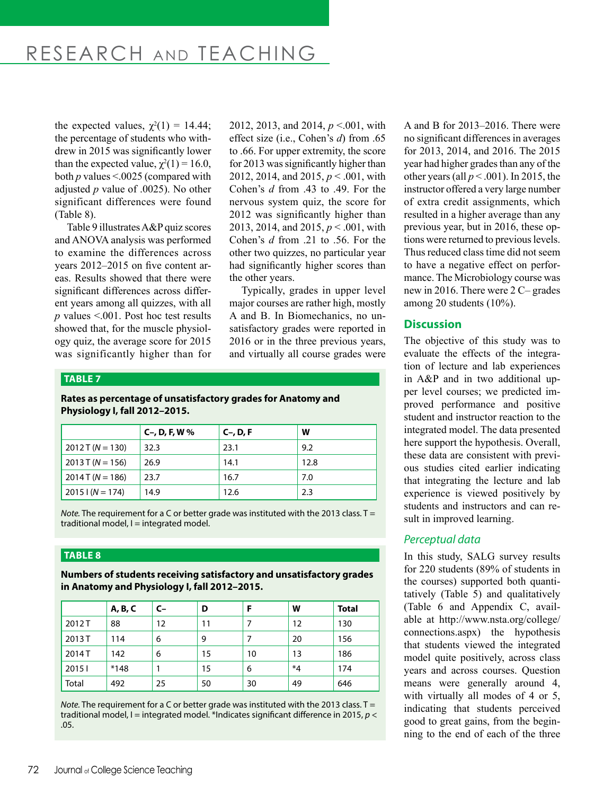## RESEARCH AND TEACHING

the expected values,  $\chi^2(1) = 14.44$ ; the percentage of students who withdrew in 2015 was significantly lower than the expected value,  $\chi^2(1) = 16.0$ , both *p* values <.0025 (compared with adjusted *p* value of .0025). No other significant differences were found (Table 8).

Table 9 illustrates A&P quiz scores and ANOVA analysis was performed to examine the differences across years 2012–2015 on five content areas. Results showed that there were significant differences across different years among all quizzes, with all *p* values <.001. Post hoc test results showed that, for the muscle physiology quiz, the average score for 2015 was significantly higher than for 2012, 2013, and 2014, *p* <.001, with effect size (i.e., Cohen's *d*) from .65 to .66. For upper extremity, the score for 2013 was significantly higher than 2012, 2014, and 2015, *p* < .001, with Cohen's *d* from .43 to .49. For the nervous system quiz, the score for 2012 was significantly higher than 2013, 2014, and 2015, *p* < .001, with Cohen's *d* from .21 to .56. For the other two quizzes, no particular year had significantly higher scores than the other years.

Typically, grades in upper level major courses are rather high, mostly A and B. In Biomechanics, no unsatisfactory grades were reported in 2016 or in the three previous years, and virtually all course grades were

#### **TABLE 7**

**Rates as percentage of unsatisfactory grades for Anatomy and Physiology I, fall 2012–2015.** 

|                    | C-, D, F, W $%$ | C-, D, F | w    |
|--------------------|-----------------|----------|------|
| $2012$ T (N = 130) | 32.3            | 23.1     | 9.2  |
| $2013$ T (N = 156) | 26.9            | 14.1     | 12.8 |
| $2014$ T (N = 186) | 23.7            | 16.7     | 7.0  |
| $2015$ $(N = 174)$ | 14.9            | 12.6     | 2.3  |

*Note.* The requirement for a C or better grade was instituted with the 2013 class. T = traditional model,  $I =$  integrated model.

#### **TABLE 8**

**Numbers of students receiving satisfactory and unsatisfactory grades in Anatomy and Physiology I, fall 2012–2015.** 

|        | A, B, C | C- | D  |    | W       | <b>Total</b> |
|--------|---------|----|----|----|---------|--------------|
| 2012T  | 88      | 12 | 11 |    | 12      | 130          |
| 2013 T | 114     | 6  | 9  |    | 20      | 156          |
| 2014T  | 142     | 6  | 15 | 10 | 13      | 186          |
| 20151  | $*148$  |    | 15 | 6  | $*_{4}$ | 174          |
| Total  | 492     | 25 | 50 | 30 | 49      | 646          |

*Note*. The requirement for a C or better grade was instituted with the 2013 class. T = traditional model, I = integrated model. \*Indicates significant difference in 2015, *p* < .05.

A and B for 2013–2016. There were no significant differences in averages for 2013, 2014, and 2016. The 2015 year had higher grades than any of the other years (all  $p < .001$ ). In 2015, the instructor offered a very large number of extra credit assignments, which resulted in a higher average than any previous year, but in 2016, these options were returned to previous levels. Thus reduced class time did not seem to have a negative effect on performance. The Microbiology course was new in 2016. There were 2 C– grades among 20 students (10%).

#### **Discussion**

The objective of this study was to evaluate the effects of the integration of lecture and lab experiences in A&P and in two additional upper level courses; we predicted improved performance and positive student and instructor reaction to the integrated model. The data presented here support the hypothesis. Overall, these data are consistent with previous studies cited earlier indicating that integrating the lecture and lab experience is viewed positively by students and instructors and can result in improved learning.

#### *Perceptual data*

In this study, SALG survey results for 220 students (89% of students in the courses) supported both quantitatively (Table 5) and qualitatively (Table 6 and Appendix C, available at http://www.nsta.org/college/ connections.aspx) the hypothesis that students viewed the integrated model quite positively, across class years and across courses. Question means were generally around 4, with virtually all modes of 4 or 5, indicating that students perceived good to great gains, from the beginning to the end of each of the three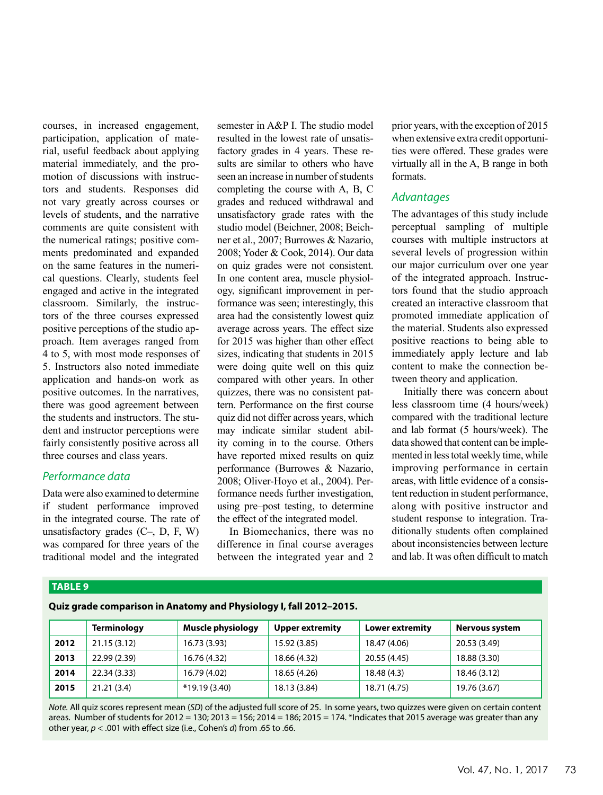courses, in increased engagement, participation, application of material, useful feedback about applying material immediately, and the promotion of discussions with instructors and students. Responses did not vary greatly across courses or levels of students, and the narrative comments are quite consistent with the numerical ratings; positive comments predominated and expanded on the same features in the numerical questions. Clearly, students feel engaged and active in the integrated classroom. Similarly, the instructors of the three courses expressed positive perceptions of the studio approach. Item averages ranged from 4 to 5, with most mode responses of 5. Instructors also noted immediate application and hands-on work as positive outcomes. In the narratives, there was good agreement between the students and instructors. The student and instructor perceptions were fairly consistently positive across all three courses and class years.

#### *Performance data*

Data were also examined to determine if student performance improved in the integrated course. The rate of unsatisfactory grades  $(C-, D, F, W)$ was compared for three years of the traditional model and the integrated semester in A&P I. The studio model resulted in the lowest rate of unsatisfactory grades in 4 years. These results are similar to others who have seen an increase in number of students completing the course with A, B, C grades and reduced withdrawal and unsatisfactory grade rates with the studio model (Beichner, 2008; Beichner et al., 2007; Burrowes & Nazario, 2008; Yoder & Cook, 2014). Our data on quiz grades were not consistent. In one content area, muscle physiology, significant improvement in performance was seen; interestingly, this area had the consistently lowest quiz average across years. The effect size for 2015 was higher than other effect sizes, indicating that students in 2015 were doing quite well on this quiz compared with other years. In other quizzes, there was no consistent pattern. Performance on the first course quiz did not differ across years, which may indicate similar student ability coming in to the course. Others have reported mixed results on quiz performance (Burrowes & Nazario, 2008; Oliver-Hoyo et al., 2004). Performance needs further investigation, using pre–post testing, to determine the effect of the integrated model.

In Biomechanics, there was no difference in final course averages between the integrated year and 2 prior years, with the exception of 2015 when extensive extra credit opportunities were offered. These grades were virtually all in the A, B range in both formats.

#### *Advantages*

The advantages of this study include perceptual sampling of multiple courses with multiple instructors at several levels of progression within our major curriculum over one year of the integrated approach. Instructors found that the studio approach created an interactive classroom that promoted immediate application of the material. Students also expressed positive reactions to being able to immediately apply lecture and lab content to make the connection between theory and application.

Initially there was concern about less classroom time (4 hours/week) compared with the traditional lecture and lab format (5 hours/week). The data showed that content can be implemented in less total weekly time, while improving performance in certain areas, with little evidence of a consistent reduction in student performance, along with positive instructor and student response to integration. Traditionally students often complained about inconsistencies between lecture and lab. It was often difficult to match

#### **TABLE 9**

**Quiz grade comparison in Anatomy and Physiology I, fall 2012–2015.**

|      | <b>Terminology</b> | Muscle physiology | <b>Upper extremity</b> | Lower extremity | Nervous system |
|------|--------------------|-------------------|------------------------|-----------------|----------------|
| 2012 | 21.15(3.12)        | 16.73 (3.93)      | 15.92 (3.85)           | 18.47 (4.06)    | 20.53 (3.49)   |
| 2013 | 22.99 (2.39)       | 16.76 (4.32)      | 18.66 (4.32)           | 20.55 (4.45)    | 18.88 (3.30)   |
| 2014 | 22.34 (3.33)       | 16.79 (4.02)      | 18.65 (4.26)           | 18.48 (4.3)     | 18.46 (3.12)   |
| 2015 | 21.21(3.4)         | *19.19 (3.40)     | 18.13 (3.84)           | 18.71 (4.75)    | 19.76 (3.67)   |

*Note.* All quiz scores represent mean (*SD*) of the adjusted full score of 25. In some years, two quizzes were given on certain content areas. Number of students for 2012 = 130; 2013 = 156; 2014 = 186; 2015 = 174. \*Indicates that 2015 average was greater than any other year, *p* < .001 with effect size (i.e., Cohen's *d*) from .65 to .66.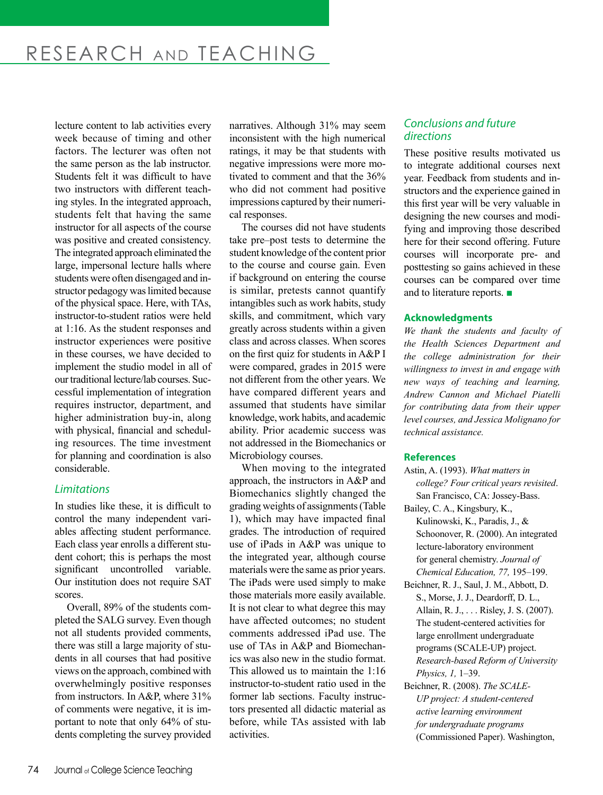lecture content to lab activities every week because of timing and other factors. The lecturer was often not the same person as the lab instructor. Students felt it was difficult to have two instructors with different teaching styles. In the integrated approach, students felt that having the same instructor for all aspects of the course was positive and created consistency. The integrated approach eliminated the large, impersonal lecture halls where students were often disengaged and instructor pedagogy was limited because of the physical space. Here, with TAs, instructor-to-student ratios were held at 1:16. As the student responses and instructor experiences were positive in these courses, we have decided to implement the studio model in all of our traditional lecture/lab courses. Successful implementation of integration requires instructor, department, and higher administration buy-in, along with physical, financial and scheduling resources. The time investment for planning and coordination is also considerable.

#### *Limitations*

In studies like these, it is difficult to control the many independent variables affecting student performance. Each class year enrolls a different student cohort; this is perhaps the most significant uncontrolled variable. Our institution does not require SAT scores.

Overall, 89% of the students completed the SALG survey. Even though not all students provided comments, there was still a large majority of students in all courses that had positive views on the approach, combined with overwhelmingly positive responses from instructors. In A&P, where 31% of comments were negative, it is important to note that only 64% of students completing the survey provided narratives. Although 31% may seem inconsistent with the high numerical ratings, it may be that students with negative impressions were more motivated to comment and that the 36% who did not comment had positive impressions captured by their numerical responses.

The courses did not have students take pre–post tests to determine the student knowledge of the content prior to the course and course gain. Even if background on entering the course is similar, pretests cannot quantify intangibles such as work habits, study skills, and commitment, which vary greatly across students within a given class and across classes. When scores on the first quiz for students in A&P I were compared, grades in 2015 were not different from the other years. We have compared different years and assumed that students have similar knowledge, work habits, and academic ability. Prior academic success was not addressed in the Biomechanics or Microbiology courses.

When moving to the integrated approach, the instructors in A&P and Biomechanics slightly changed the grading weights of assignments (Table 1), which may have impacted final grades. The introduction of required use of iPads in A&P was unique to the integrated year, although course materials were the same as prior years. The iPads were used simply to make those materials more easily available. It is not clear to what degree this may have affected outcomes; no student comments addressed iPad use. The use of TAs in A&P and Biomechanics was also new in the studio format. This allowed us to maintain the 1:16 instructor-to-student ratio used in the former lab sections. Faculty instructors presented all didactic material as before, while TAs assisted with lab activities.

#### *Conclusions and future directions*

These positive results motivated us to integrate additional courses next year. Feedback from students and instructors and the experience gained in this first year will be very valuable in designing the new courses and modifying and improving those described here for their second offering. Future courses will incorporate pre- and posttesting so gains achieved in these courses can be compared over time and to literature reports. ■

#### **Acknowledgments**

*We thank the students and faculty of the Health Sciences Department and the college administration for their willingness to invest in and engage with new ways of teaching and learning, Andrew Cannon and Michael Piatelli for contributing data from their upper level courses, and Jessica Molignano for technical assistance.*

#### **References**

- Astin, A. (1993). *What matters in college? Four critical years revisited*. San Francisco, CA: Jossey-Bass.
- Bailey, C. A., Kingsbury, K., Kulinowski, K., Paradis, J., & Schoonover, R. (2000). An integrated lecture-laboratory environment for general chemistry. *Journal of Chemical Education, 77,* 195–199.
- Beichner, R. J., Saul, J. M., Abbott, D. S., Morse, J. J., Deardorff, D. L., Allain, R. J., . . . Risley, J. S. (2007). The student-centered activities for large enrollment undergraduate programs (SCALE-UP) project. *Research-based Reform of University Physics, 1,* 1–39.
- Beichner, R. (2008). *The SCALE-UP project: A student-centered active learning environment for undergraduate programs* (Commissioned Paper). Washington,